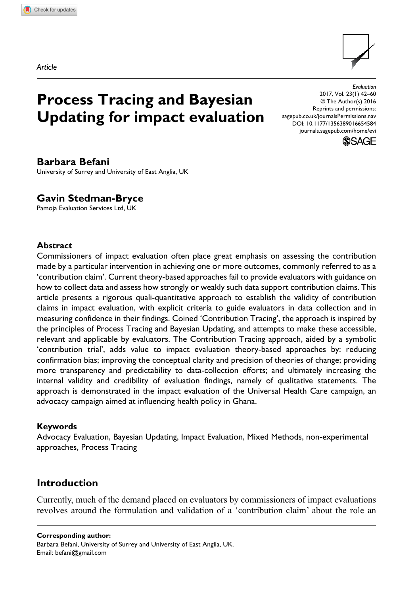*Article*



# **Process Tracing and Bayesian Updating for impact evaluation**

https://doi.org/10.1177/1356389016654584 *Evaluation* 2017, Vol. 23(1) 42–60 © The Author(s) 2016 Reprints and permissions: [sagepub.co.uk/journalsPermissions.nav](http://uk.sagepub.com/en-gb/eur/journals-permissions) [journals.sagepub.com/home/evi](http://journals.sagepub.com/home/evi)



### **Barbara Befani**

University of Surrey and University of East Anglia, UK

# **Gavin Stedman-Bryce**

Pamoja Evaluation Services Ltd, UK

### **Abstract**

Commissioners of impact evaluation often place great emphasis on assessing the contribution made by a particular intervention in achieving one or more outcomes, commonly referred to as a 'contribution claim'. Current theory-based approaches fail to provide evaluators with guidance on how to collect data and assess how strongly or weakly such data support contribution claims. This article presents a rigorous quali-quantitative approach to establish the validity of contribution claims in impact evaluation, with explicit criteria to guide evaluators in data collection and in measuring confidence in their findings. Coined 'Contribution Tracing', the approach is inspired by the principles of Process Tracing and Bayesian Updating, and attempts to make these accessible, relevant and applicable by evaluators. The Contribution Tracing approach, aided by a symbolic 'contribution trial', adds value to impact evaluation theory-based approaches by: reducing confirmation bias; improving the conceptual clarity and precision of theories of change; providing more transparency and predictability to data-collection efforts; and ultimately increasing the internal validity and credibility of evaluation findings, namely of qualitative statements. The approach is demonstrated in the impact evaluation of the Universal Health Care campaign, an advocacy campaign aimed at influencing health policy in Ghana.

### **Keywords**

Advocacy Evaluation, Bayesian Updating, Impact Evaluation, Mixed Methods, non-experimental approaches, Process Tracing

## **Introduction**

Currently, much of the demand placed on evaluators by commissioners of impact evaluations revolves around the formulation and validation of a 'contribution claim' about the role an

**Corresponding author:**

Barbara Befani, University of Surrey and University of East Anglia, UK. Email: [befani@gmail.com](mailto:befani@gmail.com)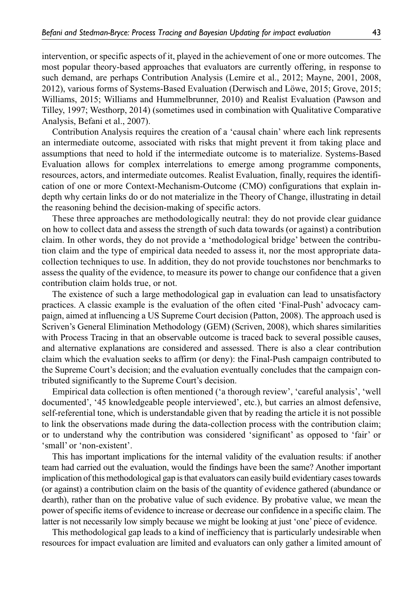intervention, or specific aspects of it, played in the achievement of one or more outcomes. The most popular theory-based approaches that evaluators are currently offering, in response to such demand, are perhaps Contribution Analysis (Lemire et al., 2012; Mayne, 2001, 2008, 2012), various forms of Systems-Based Evaluation (Derwisch and Löwe, 2015; Grove, 2015; Williams, 2015; Williams and Hummelbrunner, 2010) and Realist Evaluation (Pawson and Tilley, 1997; Westhorp, 2014) (sometimes used in combination with Qualitative Comparative Analysis, Befani et al., 2007).

Contribution Analysis requires the creation of a 'causal chain' where each link represents an intermediate outcome, associated with risks that might prevent it from taking place and assumptions that need to hold if the intermediate outcome is to materialize. Systems-Based Evaluation allows for complex interrelations to emerge among programme components, resources, actors, and intermediate outcomes. Realist Evaluation, finally, requires the identification of one or more Context-Mechanism-Outcome (CMO) configurations that explain indepth why certain links do or do not materialize in the Theory of Change, illustrating in detail the reasoning behind the decision-making of specific actors.

These three approaches are methodologically neutral: they do not provide clear guidance on how to collect data and assess the strength of such data towards (or against) a contribution claim. In other words, they do not provide a 'methodological bridge' between the contribution claim and the type of empirical data needed to assess it, nor the most appropriate datacollection techniques to use. In addition, they do not provide touchstones nor benchmarks to assess the quality of the evidence, to measure its power to change our confidence that a given contribution claim holds true, or not.

The existence of such a large methodological gap in evaluation can lead to unsatisfactory practices. A classic example is the evaluation of the often cited 'Final-Push' advocacy campaign, aimed at influencing a US Supreme Court decision (Patton, 2008). The approach used is Scriven's General Elimination Methodology (GEM) (Scriven, 2008), which shares similarities with Process Tracing in that an observable outcome is traced back to several possible causes, and alternative explanations are considered and assessed. There is also a clear contribution claim which the evaluation seeks to affirm (or deny): the Final-Push campaign contributed to the Supreme Court's decision; and the evaluation eventually concludes that the campaign contributed significantly to the Supreme Court's decision.

Empirical data collection is often mentioned ('a thorough review', 'careful analysis', 'well documented', '45 knowledgeable people interviewed', etc.), but carries an almost defensive, self-referential tone, which is understandable given that by reading the article it is not possible to link the observations made during the data-collection process with the contribution claim; or to understand why the contribution was considered 'significant' as opposed to 'fair' or 'small' or 'non-existent'.

This has important implications for the internal validity of the evaluation results: if another team had carried out the evaluation, would the findings have been the same? Another important implication of this methodological gap is that evaluators can easily build evidentiary cases towards (or against) a contribution claim on the basis of the quantity of evidence gathered (abundance or dearth), rather than on the probative value of such evidence. By probative value, we mean the power of specific items of evidence to increase or decrease our confidence in a specific claim. The latter is not necessarily low simply because we might be looking at just 'one' piece of evidence.

This methodological gap leads to a kind of inefficiency that is particularly undesirable when resources for impact evaluation are limited and evaluators can only gather a limited amount of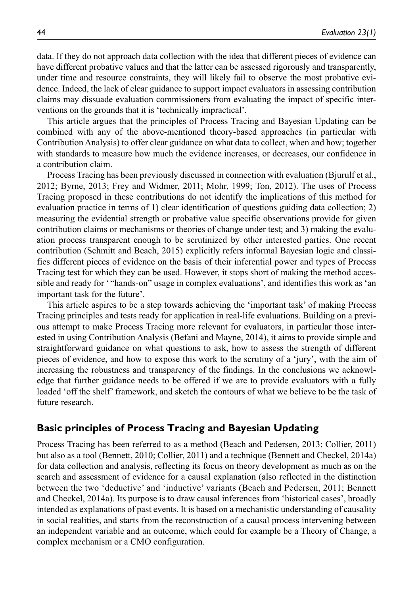data. If they do not approach data collection with the idea that different pieces of evidence can have different probative values and that the latter can be assessed rigorously and transparently, under time and resource constraints, they will likely fail to observe the most probative evidence. Indeed, the lack of clear guidance to support impact evaluators in assessing contribution claims may dissuade evaluation commissioners from evaluating the impact of specific interventions on the grounds that it is 'technically impractical'.

This article argues that the principles of Process Tracing and Bayesian Updating can be combined with any of the above-mentioned theory-based approaches (in particular with Contribution Analysis) to offer clear guidance on what data to collect, when and how; together with standards to measure how much the evidence increases, or decreases, our confidence in a contribution claim.

Process Tracing has been previously discussed in connection with evaluation (Bjurulf et al., 2012; Byrne, 2013; Frey and Widmer, 2011; Mohr, 1999; Ton, 2012). The uses of Process Tracing proposed in these contributions do not identify the implications of this method for evaluation practice in terms of 1) clear identification of questions guiding data collection; 2) measuring the evidential strength or probative value specific observations provide for given contribution claims or mechanisms or theories of change under test; and 3) making the evaluation process transparent enough to be scrutinized by other interested parties. One recent contribution (Schmitt and Beach, 2015) explicitly refers informal Bayesian logic and classifies different pieces of evidence on the basis of their inferential power and types of Process Tracing test for which they can be used. However, it stops short of making the method accessible and ready for '"hands-on" usage in complex evaluations', and identifies this work as 'an important task for the future'.

This article aspires to be a step towards achieving the 'important task' of making Process Tracing principles and tests ready for application in real-life evaluations. Building on a previous attempt to make Process Tracing more relevant for evaluators, in particular those interested in using Contribution Analysis (Befani and Mayne, 2014), it aims to provide simple and straightforward guidance on what questions to ask, how to assess the strength of different pieces of evidence, and how to expose this work to the scrutiny of a 'jury', with the aim of increasing the robustness and transparency of the findings. In the conclusions we acknowledge that further guidance needs to be offered if we are to provide evaluators with a fully loaded 'off the shelf' framework, and sketch the contours of what we believe to be the task of future research.

### **Basic principles of Process Tracing and Bayesian Updating**

Process Tracing has been referred to as a method (Beach and Pedersen, 2013; Collier, 2011) but also as a tool (Bennett, 2010; Collier, 2011) and a technique (Bennett and Checkel, 2014a) for data collection and analysis, reflecting its focus on theory development as much as on the search and assessment of evidence for a causal explanation (also reflected in the distinction between the two 'deductive' and 'inductive' variants (Beach and Pedersen, 2011; Bennett and Checkel, 2014a). Its purpose is to draw causal inferences from 'historical cases', broadly intended as explanations of past events. It is based on a mechanistic understanding of causality in social realities, and starts from the reconstruction of a causal process intervening between an independent variable and an outcome, which could for example be a Theory of Change, a complex mechanism or a CMO configuration.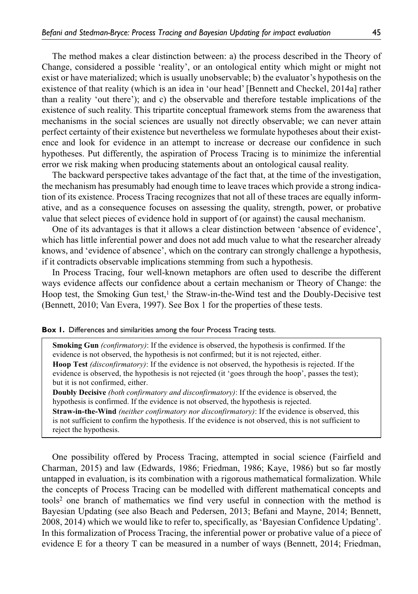The method makes a clear distinction between: a) the process described in the Theory of Change, considered a possible 'reality', or an ontological entity which might or might not exist or have materialized; which is usually unobservable; b) the evaluator's hypothesis on the existence of that reality (which is an idea in 'our head' [Bennett and Checkel, 2014a] rather than a reality 'out there'); and c) the observable and therefore testable implications of the existence of such reality. This tripartite conceptual framework stems from the awareness that mechanisms in the social sciences are usually not directly observable; we can never attain perfect certainty of their existence but nevertheless we formulate hypotheses about their existence and look for evidence in an attempt to increase or decrease our confidence in such hypotheses. Put differently, the aspiration of Process Tracing is to minimize the inferential error we risk making when producing statements about an ontological causal reality.

The backward perspective takes advantage of the fact that, at the time of the investigation, the mechanism has presumably had enough time to leave traces which provide a strong indication of its existence. Process Tracing recognizes that not all of these traces are equally informative, and as a consequence focuses on assessing the quality, strength, power, or probative value that select pieces of evidence hold in support of (or against) the causal mechanism.

One of its advantages is that it allows a clear distinction between 'absence of evidence', which has little inferential power and does not add much value to what the researcher already knows, and 'evidence of absence', which on the contrary can strongly challenge a hypothesis, if it contradicts observable implications stemming from such a hypothesis.

In Process Tracing, four well-known metaphors are often used to describe the different ways evidence affects our confidence about a certain mechanism or Theory of Change: the Hoop test, the Smoking Gun test, $<sup>1</sup>$  the Straw-in-the-Wind test and the Doubly-Decisive test</sup> (Bennett, 2010; Van Evera, 1997). See Box 1 for the properties of these tests.

**Box 1.** Differences and similarities among the four Process Tracing tests.

**Smoking Gun** *(confirmatory)*: If the evidence is observed, the hypothesis is confirmed. If the evidence is not observed, the hypothesis is not confirmed; but it is not rejected, either. **Hoop Test** *(disconfirmatory)*: If the evidence is not observed, the hypothesis is rejected. If the evidence is observed, the hypothesis is not rejected (it 'goes through the hoop', passes the test); but it is not confirmed, either.

**Doubly Decisive** *(both confirmatory and disconfirmatory)*: If the evidence is observed, the hypothesis is confirmed. If the evidence is not observed, the hypothesis is rejected.

**Straw-in-the-Wind** *(neither confirmatory nor disconfirmatory)*: If the evidence is observed, this is not sufficient to confirm the hypothesis. If the evidence is not observed, this is not sufficient to reject the hypothesis.

One possibility offered by Process Tracing, attempted in social science (Fairfield and Charman, 2015) and law (Edwards, 1986; Friedman, 1986; Kaye, 1986) but so far mostly untapped in evaluation, is its combination with a rigorous mathematical formalization. While the concepts of Process Tracing can be modelled with different mathematical concepts and tools2 one branch of mathematics we find very useful in connection with the method is Bayesian Updating (see also Beach and Pedersen, 2013; Befani and Mayne, 2014; Bennett, 2008, 2014) which we would like to refer to, specifically, as 'Bayesian Confidence Updating'. In this formalization of Process Tracing, the inferential power or probative value of a piece of evidence E for a theory T can be measured in a number of ways (Bennett, 2014; Friedman,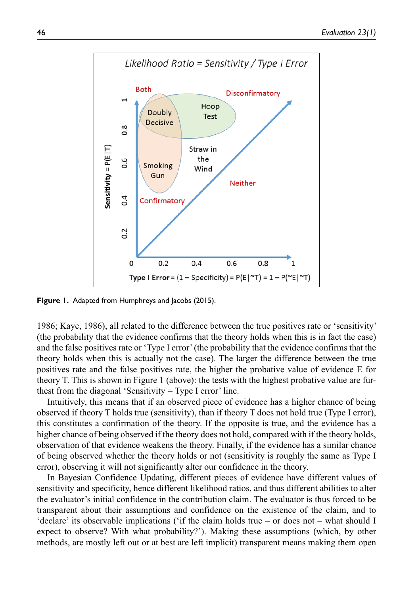

**Figure 1.** Adapted from Humphreys and Jacobs (2015).

1986; Kaye, 1986), all related to the difference between the true positives rate or 'sensitivity' (the probability that the evidence confirms that the theory holds when this is in fact the case) and the false positives rate or 'Type I error' (the probability that the evidence confirms that the theory holds when this is actually not the case). The larger the difference between the true positives rate and the false positives rate, the higher the probative value of evidence E for theory T. This is shown in Figure 1 (above): the tests with the highest probative value are furthest from the diagonal 'Sensitivity = Type I error' line.

Intuitively, this means that if an observed piece of evidence has a higher chance of being observed if theory T holds true (sensitivity), than if theory T does not hold true (Type I error), this constitutes a confirmation of the theory. If the opposite is true, and the evidence has a higher chance of being observed if the theory does not hold, compared with if the theory holds, observation of that evidence weakens the theory. Finally, if the evidence has a similar chance of being observed whether the theory holds or not (sensitivity is roughly the same as Type I error), observing it will not significantly alter our confidence in the theory.

In Bayesian Confidence Updating, different pieces of evidence have different values of sensitivity and specificity, hence different likelihood ratios, and thus different abilities to alter the evaluator's initial confidence in the contribution claim. The evaluator is thus forced to be transparent about their assumptions and confidence on the existence of the claim, and to 'declare' its observable implications ('if the claim holds true – or does not – what should I expect to observe? With what probability?'). Making these assumptions (which, by other methods, are mostly left out or at best are left implicit) transparent means making them open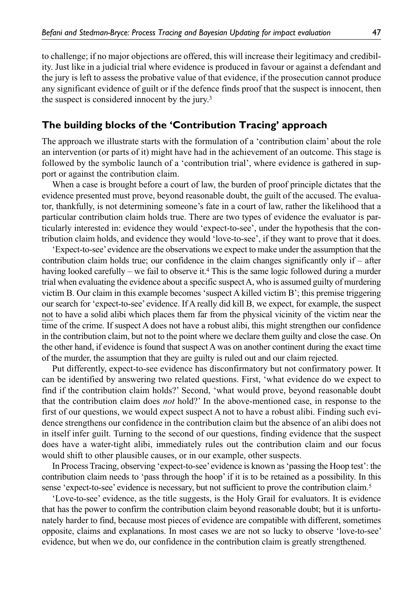to challenge; if no major objections are offered, this will increase their legitimacy and credibility. Just like in a judicial trial where evidence is produced in favour or against a defendant and the jury is left to assess the probative value of that evidence, if the prosecution cannot produce any significant evidence of guilt or if the defence finds proof that the suspect is innocent, then the suspect is considered innocent by the jury.3

# **The building blocks of the 'Contribution Tracing' approach**

The approach we illustrate starts with the formulation of a 'contribution claim' about the role an intervention (or parts of it) might have had in the achievement of an outcome. This stage is followed by the symbolic launch of a 'contribution trial', where evidence is gathered in support or against the contribution claim.

When a case is brought before a court of law, the burden of proof principle dictates that the evidence presented must prove, beyond reasonable doubt, the guilt of the accused. The evaluator, thankfully, is not determining someone's fate in a court of law, rather the likelihood that a particular contribution claim holds true. There are two types of evidence the evaluator is particularly interested in: evidence they would 'expect-to-see', under the hypothesis that the contribution claim holds, and evidence they would 'love-to-see', if they want to prove that it does.

'Expect-to-see' evidence are the observations we expect to make under the assumption that the contribution claim holds true; our confidence in the claim changes significantly only if  $-$  after having looked carefully – we fail to observe it.<sup>4</sup> This is the same logic followed during a murder trial when evaluating the evidence about a specific suspect A, who is assumed guilty of murdering victim B. Our claim in this example becomes 'suspect A killed victim B'; this premise triggering our search for 'expect-to-see' evidence. If A really did kill B, we expect, for example, the suspect not to have a solid alibi which places them far from the physical vicinity of the victim near the time of the crime. If suspect A does not have a robust alibi, this might strengthen our confidence in the contribution claim, but not to the point where we declare them guilty and close the case. On the other hand, if evidence is found that suspect A was on another continent during the exact time of the murder, the assumption that they are guilty is ruled out and our claim rejected.

Put differently, expect-to-see evidence has disconfirmatory but not confirmatory power. It can be identified by answering two related questions. First, 'what evidence do we expect to find if the contribution claim holds?' Second, 'what would prove, beyond reasonable doubt that the contribution claim does *not* hold?' In the above-mentioned case, in response to the first of our questions, we would expect suspect A not to have a robust alibi. Finding such evidence strengthens our confidence in the contribution claim but the absence of an alibi does not in itself infer guilt. Turning to the second of our questions, finding evidence that the suspect does have a water-tight alibi, immediately rules out the contribution claim and our focus would shift to other plausible causes, or in our example, other suspects.

In Process Tracing, observing 'expect-to-see' evidence is known as 'passing the Hoop test': the contribution claim needs to 'pass through the hoop' if it is to be retained as a possibility. In this sense 'expect-to-see' evidence is necessary, but not sufficient to prove the contribution claim.5

'Love-to-see' evidence, as the title suggests, is the Holy Grail for evaluators. It is evidence that has the power to confirm the contribution claim beyond reasonable doubt; but it is unfortunately harder to find, because most pieces of evidence are compatible with different, sometimes opposite, claims and explanations. In most cases we are not so lucky to observe 'love-to-see' evidence, but when we do, our confidence in the contribution claim is greatly strengthened.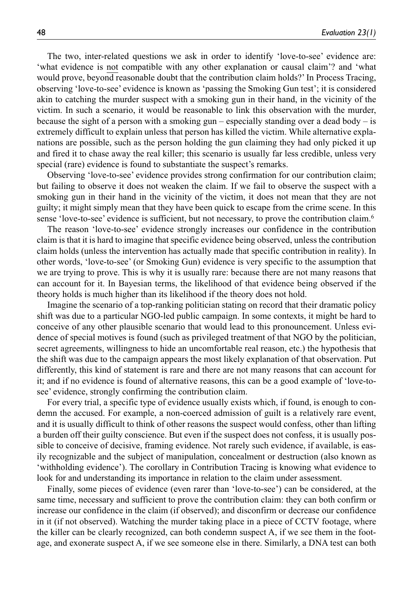The two, inter-related questions we ask in order to identify 'love-to-see' evidence are: 'what evidence is not compatible with any other explanation or causal claim'? and 'what would prove, beyond reasonable doubt that the contribution claim holds?' In Process Tracing, observing 'love-to-see' evidence is known as 'passing the Smoking Gun test'; it is considered akin to catching the murder suspect with a smoking gun in their hand, in the vicinity of the victim. In such a scenario, it would be reasonable to link this observation with the murder, because the sight of a person with a smoking gun – especially standing over a dead body – is extremely difficult to explain unless that person has killed the victim. While alternative explanations are possible, such as the person holding the gun claiming they had only picked it up and fired it to chase away the real killer; this scenario is usually far less credible, unless very special (rare) evidence is found to substantiate the suspect's remarks.

Observing 'love-to-see' evidence provides strong confirmation for our contribution claim; but failing to observe it does not weaken the claim. If we fail to observe the suspect with a smoking gun in their hand in the vicinity of the victim, it does not mean that they are not guilty; it might simply mean that they have been quick to escape from the crime scene. In this sense 'love-to-see' evidence is sufficient, but not necessary, to prove the contribution claim.<sup>6</sup>

The reason 'love-to-see' evidence strongly increases our confidence in the contribution claim is that it is hard to imagine that specific evidence being observed, unless the contribution claim holds (unless the intervention has actually made that specific contribution in reality). In other words, 'love-to-see' (or Smoking Gun) evidence is very specific to the assumption that we are trying to prove. This is why it is usually rare: because there are not many reasons that can account for it. In Bayesian terms, the likelihood of that evidence being observed if the theory holds is much higher than its likelihood if the theory does not hold.

Imagine the scenario of a top-ranking politician stating on record that their dramatic policy shift was due to a particular NGO-led public campaign. In some contexts, it might be hard to conceive of any other plausible scenario that would lead to this pronouncement. Unless evidence of special motives is found (such as privileged treatment of that NGO by the politician, secret agreements, willingness to hide an uncomfortable real reason, etc.) the hypothesis that the shift was due to the campaign appears the most likely explanation of that observation. Put differently, this kind of statement is rare and there are not many reasons that can account for it; and if no evidence is found of alternative reasons, this can be a good example of 'love-tosee' evidence, strongly confirming the contribution claim.

For every trial, a specific type of evidence usually exists which, if found, is enough to condemn the accused. For example, a non-coerced admission of guilt is a relatively rare event, and it is usually difficult to think of other reasons the suspect would confess, other than lifting a burden off their guilty conscience. But even if the suspect does not confess, it is usually possible to conceive of decisive, framing evidence. Not rarely such evidence, if available, is easily recognizable and the subject of manipulation, concealment or destruction (also known as 'withholding evidence'). The corollary in Contribution Tracing is knowing what evidence to look for and understanding its importance in relation to the claim under assessment.

Finally, some pieces of evidence (even rarer than 'love-to-see') can be considered, at the same time, necessary and sufficient to prove the contribution claim: they can both confirm or increase our confidence in the claim (if observed); and disconfirm or decrease our confidence in it (if not observed). Watching the murder taking place in a piece of CCTV footage, where the killer can be clearly recognized, can both condemn suspect A, if we see them in the footage, and exonerate suspect A, if we see someone else in there. Similarly, a DNA test can both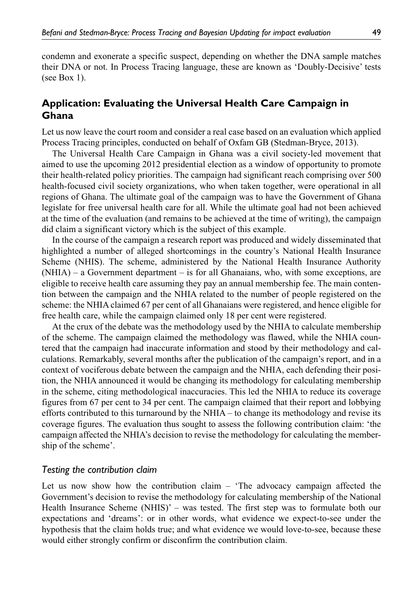condemn and exonerate a specific suspect, depending on whether the DNA sample matches their DNA or not. In Process Tracing language, these are known as 'Doubly-Decisive' tests (see Box 1).

# **Application: Evaluating the Universal Health Care Campaign in Ghana**

Let us now leave the court room and consider a real case based on an evaluation which applied Process Tracing principles, conducted on behalf of Oxfam GB (Stedman-Bryce, 2013).

The Universal Health Care Campaign in Ghana was a civil society-led movement that aimed to use the upcoming 2012 presidential election as a window of opportunity to promote their health-related policy priorities. The campaign had significant reach comprising over 500 health-focused civil society organizations, who when taken together, were operational in all regions of Ghana. The ultimate goal of the campaign was to have the Government of Ghana legislate for free universal health care for all. While the ultimate goal had not been achieved at the time of the evaluation (and remains to be achieved at the time of writing), the campaign did claim a significant victory which is the subject of this example.

In the course of the campaign a research report was produced and widely disseminated that highlighted a number of alleged shortcomings in the country's National Health Insurance Scheme (NHIS). The scheme, administered by the National Health Insurance Authority (NHIA) – a Government department – is for all Ghanaians, who, with some exceptions, are eligible to receive health care assuming they pay an annual membership fee. The main contention between the campaign and the NHIA related to the number of people registered on the scheme: the NHIA claimed 67 per cent of all Ghanaians were registered, and hence eligible for free health care, while the campaign claimed only 18 per cent were registered.

At the crux of the debate was the methodology used by the NHIA to calculate membership of the scheme. The campaign claimed the methodology was flawed, while the NHIA countered that the campaign had inaccurate information and stood by their methodology and calculations. Remarkably, several months after the publication of the campaign's report, and in a context of vociferous debate between the campaign and the NHIA, each defending their position, the NHIA announced it would be changing its methodology for calculating membership in the scheme, citing methodological inaccuracies. This led the NHIA to reduce its coverage figures from 67 per cent to 34 per cent. The campaign claimed that their report and lobbying efforts contributed to this turnaround by the NHIA – to change its methodology and revise its coverage figures. The evaluation thus sought to assess the following contribution claim: 'the campaign affected the NHIA's decision to revise the methodology for calculating the membership of the scheme'.

## *Testing the contribution claim*

Let us now show how the contribution claim  $-$  'The advocacy campaign affected the Government's decision to revise the methodology for calculating membership of the National Health Insurance Scheme (NHIS)' – was tested. The first step was to formulate both our expectations and 'dreams': or in other words, what evidence we expect-to-see under the hypothesis that the claim holds true; and what evidence we would love-to-see, because these would either strongly confirm or disconfirm the contribution claim.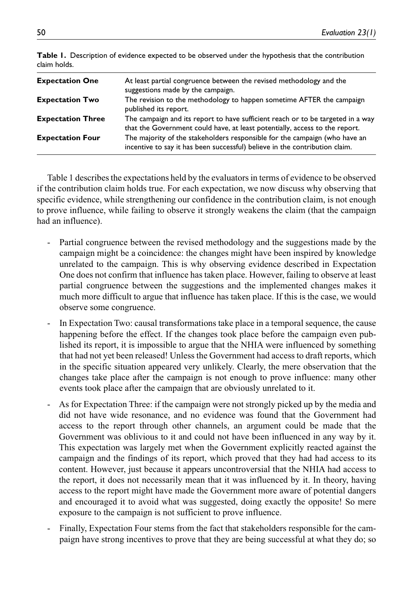| <b>Expectation One</b>   | At least partial congruence between the revised methodology and the<br>suggestions made by the campaign.                                                       |
|--------------------------|----------------------------------------------------------------------------------------------------------------------------------------------------------------|
| <b>Expectation Two</b>   | The revision to the methodology to happen sometime AFTER the campaign<br>published its report.                                                                 |
| <b>Expectation Three</b> | The campaign and its report to have sufficient reach or to be targeted in a way<br>that the Government could have, at least potentially, access to the report. |
| <b>Expectation Four</b>  | The majority of the stakeholders responsible for the campaign (who have an<br>incentive to say it has been successful) believe in the contribution claim.      |

**Table 1.** Description of evidence expected to be observed under the hypothesis that the contribution claim holds.

Table 1 describes the expectations held by the evaluators in terms of evidence to be observed if the contribution claim holds true. For each expectation, we now discuss why observing that specific evidence, while strengthening our confidence in the contribution claim, is not enough to prove influence, while failing to observe it strongly weakens the claim (that the campaign had an influence).

- Partial congruence between the revised methodology and the suggestions made by the campaign might be a coincidence: the changes might have been inspired by knowledge unrelated to the campaign. This is why observing evidence described in Expectation One does not confirm that influence has taken place. However, failing to observe at least partial congruence between the suggestions and the implemented changes makes it much more difficult to argue that influence has taken place. If this is the case, we would observe some congruence.
- In Expectation Two: causal transformations take place in a temporal sequence, the cause happening before the effect. If the changes took place before the campaign even published its report, it is impossible to argue that the NHIA were influenced by something that had not yet been released! Unless the Government had access to draft reports, which in the specific situation appeared very unlikely. Clearly, the mere observation that the changes take place after the campaign is not enough to prove influence: many other events took place after the campaign that are obviously unrelated to it.
- As for Expectation Three: if the campaign were not strongly picked up by the media and did not have wide resonance, and no evidence was found that the Government had access to the report through other channels, an argument could be made that the Government was oblivious to it and could not have been influenced in any way by it. This expectation was largely met when the Government explicitly reacted against the campaign and the findings of its report, which proved that they had had access to its content. However, just because it appears uncontroversial that the NHIA had access to the report, it does not necessarily mean that it was influenced by it. In theory, having access to the report might have made the Government more aware of potential dangers and encouraged it to avoid what was suggested, doing exactly the opposite! So mere exposure to the campaign is not sufficient to prove influence.
- Finally, Expectation Four stems from the fact that stakeholders responsible for the campaign have strong incentives to prove that they are being successful at what they do; so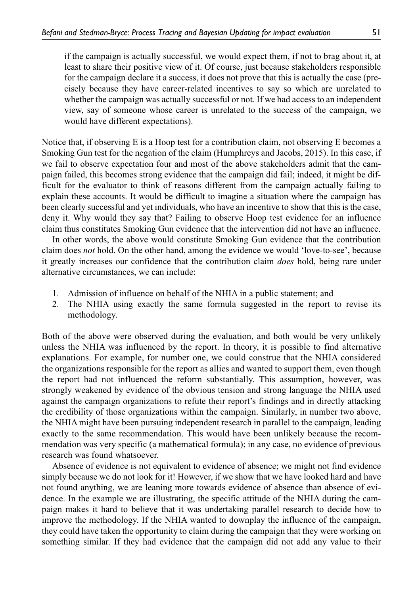if the campaign is actually successful, we would expect them, if not to brag about it, at least to share their positive view of it. Of course, just because stakeholders responsible for the campaign declare it a success, it does not prove that this is actually the case (precisely because they have career-related incentives to say so which are unrelated to whether the campaign was actually successful or not. If we had access to an independent view, say of someone whose career is unrelated to the success of the campaign, we would have different expectations).

Notice that, if observing E is a Hoop test for a contribution claim, not observing E becomes a Smoking Gun test for the negation of the claim (Humphreys and Jacobs, 2015). In this case, if we fail to observe expectation four and most of the above stakeholders admit that the campaign failed, this becomes strong evidence that the campaign did fail; indeed, it might be difficult for the evaluator to think of reasons different from the campaign actually failing to explain these accounts. It would be difficult to imagine a situation where the campaign has been clearly successful and yet individuals, who have an incentive to show that this is the case, deny it. Why would they say that? Failing to observe Hoop test evidence for an influence claim thus constitutes Smoking Gun evidence that the intervention did not have an influence.

In other words, the above would constitute Smoking Gun evidence that the contribution claim does *not* hold. On the other hand, among the evidence we would 'love-to-see', because it greatly increases our confidence that the contribution claim *does* hold, being rare under alternative circumstances, we can include:

- 1. Admission of influence on behalf of the NHIA in a public statement; and
- 2. The NHIA using exactly the same formula suggested in the report to revise its methodology.

Both of the above were observed during the evaluation, and both would be very unlikely unless the NHIA was influenced by the report. In theory, it is possible to find alternative explanations. For example, for number one, we could construe that the NHIA considered the organizations responsible for the report as allies and wanted to support them, even though the report had not influenced the reform substantially. This assumption, however, was strongly weakened by evidence of the obvious tension and strong language the NHIA used against the campaign organizations to refute their report's findings and in directly attacking the credibility of those organizations within the campaign. Similarly, in number two above, the NHIA might have been pursuing independent research in parallel to the campaign, leading exactly to the same recommendation. This would have been unlikely because the recommendation was very specific (a mathematical formula); in any case, no evidence of previous research was found whatsoever.

Absence of evidence is not equivalent to evidence of absence; we might not find evidence simply because we do not look for it! However, if we show that we have looked hard and have not found anything, we are leaning more towards evidence of absence than absence of evidence. In the example we are illustrating, the specific attitude of the NHIA during the campaign makes it hard to believe that it was undertaking parallel research to decide how to improve the methodology. If the NHIA wanted to downplay the influence of the campaign, they could have taken the opportunity to claim during the campaign that they were working on something similar. If they had evidence that the campaign did not add any value to their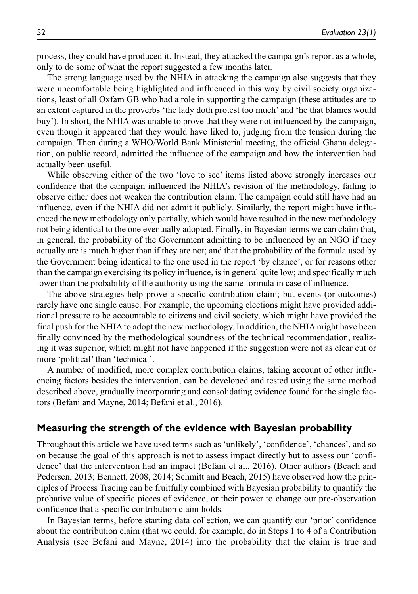process, they could have produced it. Instead, they attacked the campaign's report as a whole, only to do some of what the report suggested a few months later.

The strong language used by the NHIA in attacking the campaign also suggests that they were uncomfortable being highlighted and influenced in this way by civil society organizations, least of all Oxfam GB who had a role in supporting the campaign (these attitudes are to an extent captured in the proverbs 'the lady doth protest too much' and 'he that blames would buy'). In short, the NHIA was unable to prove that they were not influenced by the campaign, even though it appeared that they would have liked to, judging from the tension during the campaign. Then during a WHO/World Bank Ministerial meeting, the official Ghana delegation, on public record, admitted the influence of the campaign and how the intervention had actually been useful.

While observing either of the two 'love to see' items listed above strongly increases our confidence that the campaign influenced the NHIA's revision of the methodology, failing to observe either does not weaken the contribution claim. The campaign could still have had an influence, even if the NHIA did not admit it publicly. Similarly, the report might have influenced the new methodology only partially, which would have resulted in the new methodology not being identical to the one eventually adopted. Finally, in Bayesian terms we can claim that, in general, the probability of the Government admitting to be influenced by an NGO if they actually are is much higher than if they are not; and that the probability of the formula used by the Government being identical to the one used in the report 'by chance', or for reasons other than the campaign exercising its policy influence, is in general quite low; and specifically much lower than the probability of the authority using the same formula in case of influence.

The above strategies help prove a specific contribution claim; but events (or outcomes) rarely have one single cause. For example, the upcoming elections might have provided additional pressure to be accountable to citizens and civil society, which might have provided the final push for the NHIA to adopt the new methodology. In addition, the NHIA might have been finally convinced by the methodological soundness of the technical recommendation, realizing it was superior, which might not have happened if the suggestion were not as clear cut or more 'political' than 'technical'.

A number of modified, more complex contribution claims, taking account of other influencing factors besides the intervention, can be developed and tested using the same method described above, gradually incorporating and consolidating evidence found for the single factors (Befani and Mayne, 2014; Befani et al., 2016).

### **Measuring the strength of the evidence with Bayesian probability**

Throughout this article we have used terms such as 'unlikely', 'confidence', 'chances', and so on because the goal of this approach is not to assess impact directly but to assess our 'confidence' that the intervention had an impact (Befani et al., 2016). Other authors (Beach and Pedersen, 2013; Bennett, 2008, 2014; Schmitt and Beach, 2015) have observed how the principles of Process Tracing can be fruitfully combined with Bayesian probability to quantify the probative value of specific pieces of evidence, or their power to change our pre-observation confidence that a specific contribution claim holds.

In Bayesian terms, before starting data collection, we can quantify our 'prior' confidence about the contribution claim (that we could, for example, do in Steps 1 to 4 of a Contribution Analysis (see Befani and Mayne, 2014) into the probability that the claim is true and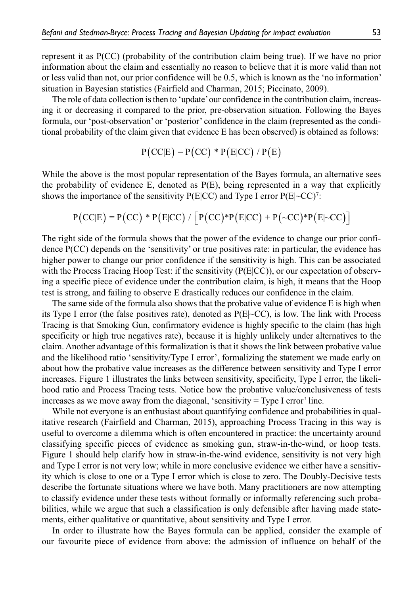represent it as P(CC) (probability of the contribution claim being true). If we have no prior information about the claim and essentially no reason to believe that it is more valid than not or less valid than not, our prior confidence will be 0.5, which is known as the 'no information' situation in Bayesian statistics (Fairfield and Charman, 2015; Piccinato, 2009).

The role of data collection is then to 'update' our confidence in the contribution claim, increasing it or decreasing it compared to the prior, pre-observation situation. Following the Bayes formula, our 'post-observation' or 'posterior' confidence in the claim (represented as the conditional probability of the claim given that evidence E has been observed) is obtained as follows:

$$
P(CC|E) = P(CC) * P(E|CC) / P(E)
$$

While the above is the most popular representation of the Bayes formula, an alternative sees the probability of evidence E, denoted as P(E), being represented in a way that explicitly shows the importance of the sensitivity  $P(E|CC)$  and Type I error  $P(E|\sim CC)^7$ :

$$
P(CC|E) = P(CC) * P(E|CC) / [P(CC)*P(E|CC) + P(\sim CC)*P(E|\sim CC)]
$$

The right side of the formula shows that the power of the evidence to change our prior confidence P(CC) depends on the 'sensitivity' or true positives rate: in particular, the evidence has higher power to change our prior confidence if the sensitivity is high. This can be associated with the Process Tracing Hoop Test: if the sensitivity  $(P(E|CC))$ , or our expectation of observing a specific piece of evidence under the contribution claim, is high, it means that the Hoop test is strong, and failing to observe E drastically reduces our confidence in the claim.

The same side of the formula also shows that the probative value of evidence E is high when its Type I error (the false positives rate), denoted as  $P(E|\sim CC)$ , is low. The link with Process Tracing is that Smoking Gun, confirmatory evidence is highly specific to the claim (has high specificity or high true negatives rate), because it is highly unlikely under alternatives to the claim. Another advantage of this formalization is that it shows the link between probative value and the likelihood ratio 'sensitivity/Type I error', formalizing the statement we made early on about how the probative value increases as the difference between sensitivity and Type I error increases. Figure 1 illustrates the links between sensitivity, specificity, Type I error, the likelihood ratio and Process Tracing tests. Notice how the probative value/conclusiveness of tests increases as we move away from the diagonal, 'sensitivity = Type I error' line.

While not everyone is an enthusiast about quantifying confidence and probabilities in qualitative research (Fairfield and Charman, 2015), approaching Process Tracing in this way is useful to overcome a dilemma which is often encountered in practice: the uncertainty around classifying specific pieces of evidence as smoking gun, straw-in-the-wind, or hoop tests. Figure 1 should help clarify how in straw-in-the-wind evidence, sensitivity is not very high and Type I error is not very low; while in more conclusive evidence we either have a sensitivity which is close to one or a Type I error which is close to zero. The Doubly-Decisive tests describe the fortunate situations where we have both. Many practitioners are now attempting to classify evidence under these tests without formally or informally referencing such probabilities, while we argue that such a classification is only defensible after having made statements, either qualitative or quantitative, about sensitivity and Type I error.

In order to illustrate how the Bayes formula can be applied, consider the example of our favourite piece of evidence from above: the admission of influence on behalf of the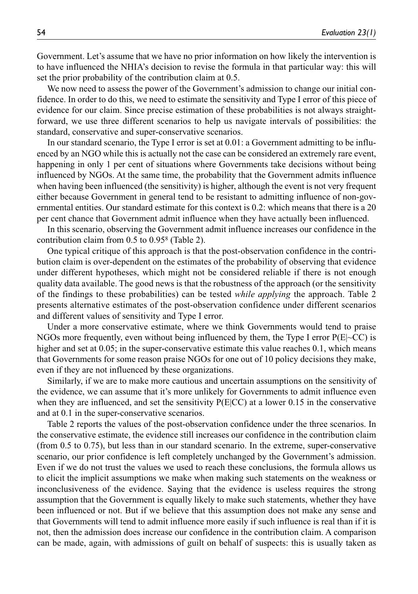Government. Let's assume that we have no prior information on how likely the intervention is to have influenced the NHIA's decision to revise the formula in that particular way: this will set the prior probability of the contribution claim at 0.5.

We now need to assess the power of the Government's admission to change our initial confidence. In order to do this, we need to estimate the sensitivity and Type I error of this piece of evidence for our claim. Since precise estimation of these probabilities is not always straightforward, we use three different scenarios to help us navigate intervals of possibilities: the standard, conservative and super-conservative scenarios.

In our standard scenario, the Type I error is set at 0.01: a Government admitting to be influenced by an NGO while this is actually not the case can be considered an extremely rare event, happening in only 1 per cent of situations where Governments take decisions without being influenced by NGOs. At the same time, the probability that the Government admits influence when having been influenced (the sensitivity) is higher, although the event is not very frequent either because Government in general tend to be resistant to admitting influence of non-governmental entities. Our standard estimate for this context is 0.2: which means that there is a 20 per cent chance that Government admit influence when they have actually been influenced.

In this scenario, observing the Government admit influence increases our confidence in the contribution claim from 0.5 to 0.958 (Table 2).

One typical critique of this approach is that the post-observation confidence in the contribution claim is over-dependent on the estimates of the probability of observing that evidence under different hypotheses, which might not be considered reliable if there is not enough quality data available. The good news is that the robustness of the approach (or the sensitivity of the findings to these probabilities) can be tested *while applying* the approach. Table 2 presents alternative estimates of the post-observation confidence under different scenarios and different values of sensitivity and Type I error.

Under a more conservative estimate, where we think Governments would tend to praise NGOs more frequently, even without being influenced by them, the Type I error  $P(E|\sim CC)$  is higher and set at 0.05; in the super-conservative estimate this value reaches 0.1, which means that Governments for some reason praise NGOs for one out of 10 policy decisions they make, even if they are not influenced by these organizations.

Similarly, if we are to make more cautious and uncertain assumptions on the sensitivity of the evidence, we can assume that it's more unlikely for Governments to admit influence even when they are influenced, and set the sensitivity  $P(E|CC)$  at a lower 0.15 in the conservative and at 0.1 in the super-conservative scenarios.

Table 2 reports the values of the post-observation confidence under the three scenarios. In the conservative estimate, the evidence still increases our confidence in the contribution claim (from 0.5 to 0.75), but less than in our standard scenario. In the extreme, super-conservative scenario, our prior confidence is left completely unchanged by the Government's admission. Even if we do not trust the values we used to reach these conclusions, the formula allows us to elicit the implicit assumptions we make when making such statements on the weakness or inconclusiveness of the evidence. Saying that the evidence is useless requires the strong assumption that the Government is equally likely to make such statements, whether they have been influenced or not. But if we believe that this assumption does not make any sense and that Governments will tend to admit influence more easily if such influence is real than if it is not, then the admission does increase our confidence in the contribution claim. A comparison can be made, again, with admissions of guilt on behalf of suspects: this is usually taken as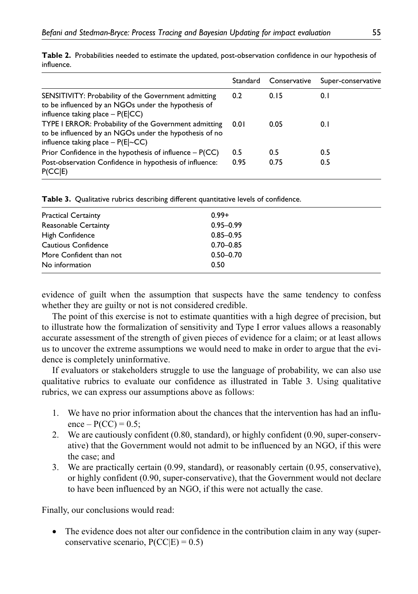|                                                                                                                                                           | Standard | Conservative | Super-conservative |
|-----------------------------------------------------------------------------------------------------------------------------------------------------------|----------|--------------|--------------------|
| SENSITIVITY: Probability of the Government admitting<br>to be influenced by an NGOs under the hypothesis of<br>influence taking place $-P(E CC)$          | 0.2      | 0.15         | 0.1                |
| TYPE I ERROR: Probability of the Government admitting<br>to be influenced by an NGOs under the hypothesis of no<br>influence taking place $-P(E \sim CC)$ | 0.01     | 0.05         | 0. I               |
| Prior Confidence in the hypothesis of influence $- P(CC)$                                                                                                 | 0.5      | 0.5          | 0.5                |
| Post-observation Confidence in hypothesis of influence:<br>P(CC E)                                                                                        | 0.95     | 0.75         | 0.5                |

**Table 2.** Probabilities needed to estimate the updated, post-observation confidence in our hypothesis of influence.

**Table 3.** Qualitative rubrics describing different quantitative levels of confidence.

| <b>Practical Certainty</b>  | $0.99 +$      |  |
|-----------------------------|---------------|--|
| <b>Reasonable Certainty</b> | $0.95 - 0.99$ |  |
| High Confidence             | $0.85 - 0.95$ |  |
| <b>Cautious Confidence</b>  | $0.70 - 0.85$ |  |
| More Confident than not     | $0.50 - 0.70$ |  |
| No information              | 0.50          |  |

evidence of guilt when the assumption that suspects have the same tendency to confess whether they are guilty or not is not considered credible.

The point of this exercise is not to estimate quantities with a high degree of precision, but to illustrate how the formalization of sensitivity and Type I error values allows a reasonably accurate assessment of the strength of given pieces of evidence for a claim; or at least allows us to uncover the extreme assumptions we would need to make in order to argue that the evidence is completely uninformative.

If evaluators or stakeholders struggle to use the language of probability, we can also use qualitative rubrics to evaluate our confidence as illustrated in Table 3. Using qualitative rubrics, we can express our assumptions above as follows:

- 1. We have no prior information about the chances that the intervention has had an influ $e^{i\theta} - P(CC) = 0.5;$
- 2. We are cautiously confident (0.80, standard), or highly confident (0.90, super-conservative) that the Government would not admit to be influenced by an NGO, if this were the case; and
- 3. We are practically certain (0.99, standard), or reasonably certain (0.95, conservative), or highly confident (0.90, super-conservative), that the Government would not declare to have been influenced by an NGO, if this were not actually the case.

Finally, our conclusions would read:

• The evidence does not alter our confidence in the contribution claim in any way (superconservative scenario,  $P(CC|E) = 0.5$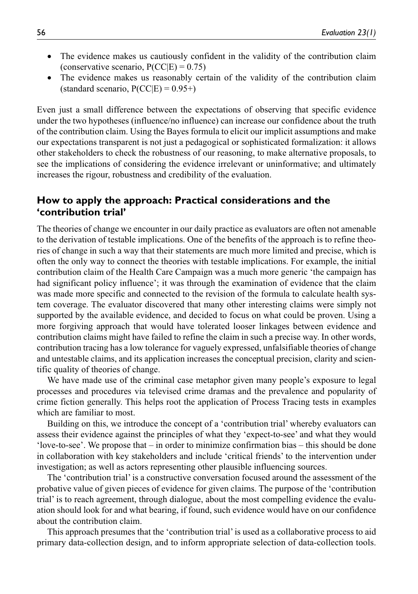- The evidence makes us cautiously confident in the validity of the contribution claim (conservative scenario,  $P(CC|E) = 0.75$ )
- The evidence makes us reasonably certain of the validity of the contribution claim (standard scenario,  $P(CC|E) = 0.95+)$

Even just a small difference between the expectations of observing that specific evidence under the two hypotheses (influence/no influence) can increase our confidence about the truth of the contribution claim. Using the Bayes formula to elicit our implicit assumptions and make our expectations transparent is not just a pedagogical or sophisticated formalization: it allows other stakeholders to check the robustness of our reasoning, to make alternative proposals, to see the implications of considering the evidence irrelevant or uninformative; and ultimately increases the rigour, robustness and credibility of the evaluation.

# **How to apply the approach: Practical considerations and the 'contribution trial'**

The theories of change we encounter in our daily practice as evaluators are often not amenable to the derivation of testable implications. One of the benefits of the approach is to refine theories of change in such a way that their statements are much more limited and precise, which is often the only way to connect the theories with testable implications. For example, the initial contribution claim of the Health Care Campaign was a much more generic 'the campaign has had significant policy influence'; it was through the examination of evidence that the claim was made more specific and connected to the revision of the formula to calculate health system coverage. The evaluator discovered that many other interesting claims were simply not supported by the available evidence, and decided to focus on what could be proven. Using a more forgiving approach that would have tolerated looser linkages between evidence and contribution claims might have failed to refine the claim in such a precise way. In other words, contribution tracing has a low tolerance for vaguely expressed, unfalsifiable theories of change and untestable claims, and its application increases the conceptual precision, clarity and scientific quality of theories of change.

We have made use of the criminal case metaphor given many people's exposure to legal processes and procedures via televised crime dramas and the prevalence and popularity of crime fiction generally. This helps root the application of Process Tracing tests in examples which are familiar to most.

Building on this, we introduce the concept of a 'contribution trial' whereby evaluators can assess their evidence against the principles of what they 'expect-to-see' and what they would 'love-to-see'. We propose that – in order to minimize confirmation bias – this should be done in collaboration with key stakeholders and include 'critical friends' to the intervention under investigation; as well as actors representing other plausible influencing sources.

The 'contribution trial' is a constructive conversation focused around the assessment of the probative value of given pieces of evidence for given claims. The purpose of the 'contribution trial' is to reach agreement, through dialogue, about the most compelling evidence the evaluation should look for and what bearing, if found, such evidence would have on our confidence about the contribution claim.

This approach presumes that the 'contribution trial' is used as a collaborative process to aid primary data-collection design, and to inform appropriate selection of data-collection tools.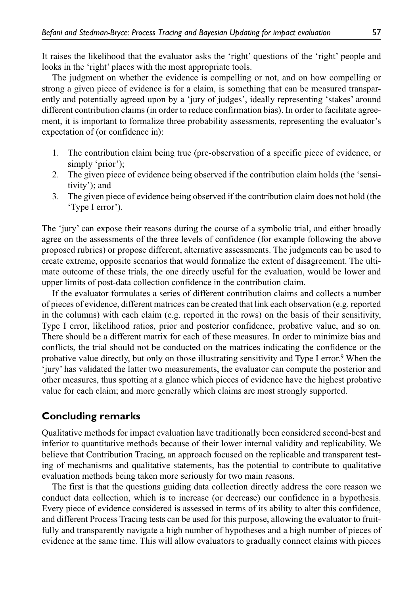It raises the likelihood that the evaluator asks the 'right' questions of the 'right' people and looks in the 'right' places with the most appropriate tools.

The judgment on whether the evidence is compelling or not, and on how compelling or strong a given piece of evidence is for a claim, is something that can be measured transparently and potentially agreed upon by a 'jury of judges', ideally representing 'stakes' around different contribution claims (in order to reduce confirmation bias). In order to facilitate agreement, it is important to formalize three probability assessments, representing the evaluator's expectation of (or confidence in):

- 1. The contribution claim being true (pre-observation of a specific piece of evidence, or simply 'prior');
- 2. The given piece of evidence being observed if the contribution claim holds (the 'sensitivity'); and
- 3. The given piece of evidence being observed if the contribution claim does not hold (the 'Type I error').

The 'jury' can expose their reasons during the course of a symbolic trial, and either broadly agree on the assessments of the three levels of confidence (for example following the above proposed rubrics) or propose different, alternative assessments. The judgments can be used to create extreme, opposite scenarios that would formalize the extent of disagreement. The ultimate outcome of these trials, the one directly useful for the evaluation, would be lower and upper limits of post-data collection confidence in the contribution claim.

If the evaluator formulates a series of different contribution claims and collects a number of pieces of evidence, different matrices can be created that link each observation (e.g. reported in the columns) with each claim (e.g. reported in the rows) on the basis of their sensitivity, Type I error, likelihood ratios, prior and posterior confidence, probative value, and so on. There should be a different matrix for each of these measures. In order to minimize bias and conflicts, the trial should not be conducted on the matrices indicating the confidence or the probative value directly, but only on those illustrating sensitivity and Type I error.9 When the 'jury' has validated the latter two measurements, the evaluator can compute the posterior and other measures, thus spotting at a glance which pieces of evidence have the highest probative value for each claim; and more generally which claims are most strongly supported.

# **Concluding remarks**

Qualitative methods for impact evaluation have traditionally been considered second-best and inferior to quantitative methods because of their lower internal validity and replicability. We believe that Contribution Tracing, an approach focused on the replicable and transparent testing of mechanisms and qualitative statements, has the potential to contribute to qualitative evaluation methods being taken more seriously for two main reasons.

The first is that the questions guiding data collection directly address the core reason we conduct data collection, which is to increase (or decrease) our confidence in a hypothesis. Every piece of evidence considered is assessed in terms of its ability to alter this confidence, and different Process Tracing tests can be used for this purpose, allowing the evaluator to fruitfully and transparently navigate a high number of hypotheses and a high number of pieces of evidence at the same time. This will allow evaluators to gradually connect claims with pieces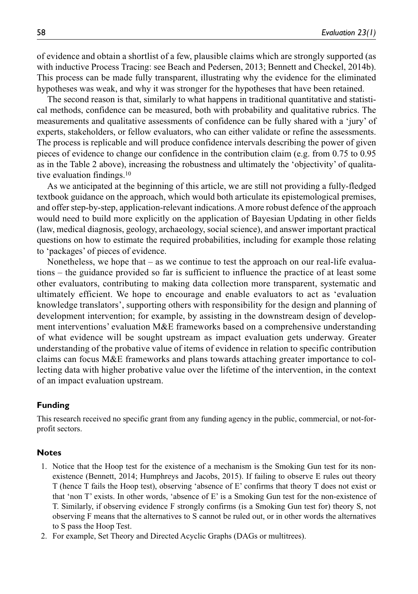of evidence and obtain a shortlist of a few, plausible claims which are strongly supported (as with inductive Process Tracing: see Beach and Pedersen, 2013; Bennett and Checkel, 2014b). This process can be made fully transparent, illustrating why the evidence for the eliminated hypotheses was weak, and why it was stronger for the hypotheses that have been retained.

The second reason is that, similarly to what happens in traditional quantitative and statistical methods, confidence can be measured, both with probability and qualitative rubrics. The measurements and qualitative assessments of confidence can be fully shared with a 'jury' of experts, stakeholders, or fellow evaluators, who can either validate or refine the assessments. The process is replicable and will produce confidence intervals describing the power of given pieces of evidence to change our confidence in the contribution claim (e.g. from 0.75 to 0.95 as in the Table 2 above), increasing the robustness and ultimately the 'objectivity' of qualitative evaluation findings.<sup>10</sup>

As we anticipated at the beginning of this article, we are still not providing a fully-fledged textbook guidance on the approach, which would both articulate its epistemological premises, and offer step-by-step, application-relevant indications. A more robust defence of the approach would need to build more explicitly on the application of Bayesian Updating in other fields (law, medical diagnosis, geology, archaeology, social science), and answer important practical questions on how to estimate the required probabilities, including for example those relating to 'packages' of pieces of evidence.

Nonetheless, we hope that  $-$  as we continue to test the approach on our real-life evaluations – the guidance provided so far is sufficient to influence the practice of at least some other evaluators, contributing to making data collection more transparent, systematic and ultimately efficient. We hope to encourage and enable evaluators to act as 'evaluation knowledge translators', supporting others with responsibility for the design and planning of development intervention; for example, by assisting in the downstream design of development interventions' evaluation M&E frameworks based on a comprehensive understanding of what evidence will be sought upstream as impact evaluation gets underway. Greater understanding of the probative value of items of evidence in relation to specific contribution claims can focus M&E frameworks and plans towards attaching greater importance to collecting data with higher probative value over the lifetime of the intervention, in the context of an impact evaluation upstream.

### **Funding**

This research received no specific grant from any funding agency in the public, commercial, or not-forprofit sectors.

### **Notes**

- 1. Notice that the Hoop test for the existence of a mechanism is the Smoking Gun test for its nonexistence (Bennett, 2014; Humphreys and Jacobs, 2015). If failing to observe E rules out theory T (hence T fails the Hoop test), observing 'absence of E' confirms that theory T does not exist or that 'non T' exists. In other words, 'absence of E' is a Smoking Gun test for the non-existence of T. Similarly, if observing evidence F strongly confirms (is a Smoking Gun test for) theory S, not observing F means that the alternatives to S cannot be ruled out, or in other words the alternatives to S pass the Hoop Test.
- 2. For example, Set Theory and Directed Acyclic Graphs (DAGs or multitrees).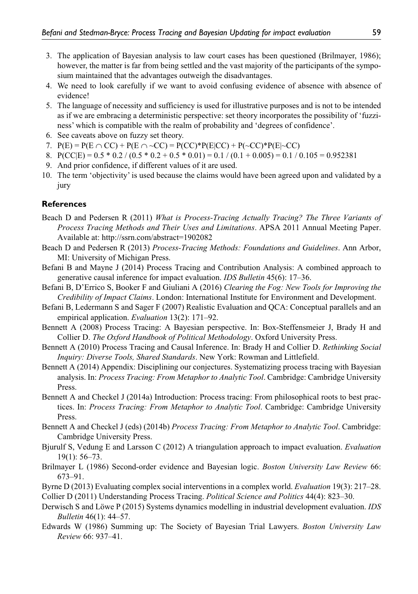- 3. The application of Bayesian analysis to law court cases has been questioned (Brilmayer, 1986); however, the matter is far from being settled and the vast majority of the participants of the symposium maintained that the advantages outweigh the disadvantages.
- 4. We need to look carefully if we want to avoid confusing evidence of absence with absence of evidence!
- 5. The language of necessity and sufficiency is used for illustrative purposes and is not to be intended as if we are embracing a deterministic perspective: set theory incorporates the possibility of 'fuzziness' which is compatible with the realm of probability and 'degrees of confidence'.
- 6. See caveats above on fuzzy set theory.
- 7.  $P(E) = P(E \cap CC) + P(E \cap \sim CC) = P(CC)*P(E|CC) + P(\sim CC)*P(E|\sim CC)$
- 8.  $P(CC|E) = 0.5 * 0.2 / (0.5 * 0.2 + 0.5 * 0.01) = 0.1 / (0.1 + 0.005) = 0.1 / 0.105 = 0.952381$
- 9. And prior confidence, if different values of it are used.
- 10. The term 'objectivity' is used because the claims would have been agreed upon and validated by a jury

### **References**

- Beach D and Pedersen R (2011) *What is Process-Tracing Actually Tracing? The Three Variants of Process Tracing Methods and Their Uses and Limitations*. APSA 2011 Annual Meeting Paper. Available at:<http://ssrn.com/abstract=1902082>
- Beach D and Pedersen R (2013) *Process-Tracing Methods: Foundations and Guidelines*. Ann Arbor, MI: University of Michigan Press.
- Befani B and Mayne J (2014) Process Tracing and Contribution Analysis: A combined approach to generative causal inference for impact evaluation. *IDS Bulletin* 45(6): 17–36.
- Befani B, D'Errico S, Booker F and Giuliani A (2016) *Clearing the Fog: New Tools for Improving the Credibility of Impact Claims*. London: International Institute for Environment and Development.
- Befani B, Ledermann S and Sager F (2007) Realistic Evaluation and QCA: Conceptual parallels and an empirical application. *Evaluation* 13(2): 171–92.
- Bennett A (2008) Process Tracing: A Bayesian perspective. In: Box-Steffensmeier J, Brady H and Collier D. *The Oxford Handbook of Political Methodology*. Oxford University Press.
- Bennett A (2010) Process Tracing and Causal Inference. In: Brady H and Collier D. *Rethinking Social Inquiry: Diverse Tools, Shared Standards*. New York: Rowman and Littlefield.
- Bennett A (2014) Appendix: Disciplining our conjectures. Systematizing process tracing with Bayesian analysis. In: *Process Tracing: From Metaphor to Analytic Tool*. Cambridge: Cambridge University Press.
- Bennett A and Checkel J (2014a) Introduction: Process tracing: From philosophical roots to best practices. In: *Process Tracing: From Metaphor to Analytic Tool*. Cambridge: Cambridge University Press.
- Bennett A and Checkel J (eds) (2014b) *Process Tracing: From Metaphor to Analytic Tool*. Cambridge: Cambridge University Press.
- Bjurulf S, Vedung E and Larsson C (2012) A triangulation approach to impact evaluation. *Evaluation* 19(1): 56–73.
- Brilmayer L (1986) Second-order evidence and Bayesian logic. *Boston University Law Review* 66: 673–91.
- Byrne D (2013) Evaluating complex social interventions in a complex world. *Evaluation* 19(3): 217–28.
- Collier D (2011) Understanding Process Tracing. *Political Science and Politics* 44(4): 823–30.
- Derwisch S and Löwe P (2015) Systems dynamics modelling in industrial development evaluation. *IDS Bulletin* 46(1): 44–57.
- Edwards W (1986) Summing up: The Society of Bayesian Trial Lawyers. *Boston University Law Review* 66: 937–41.